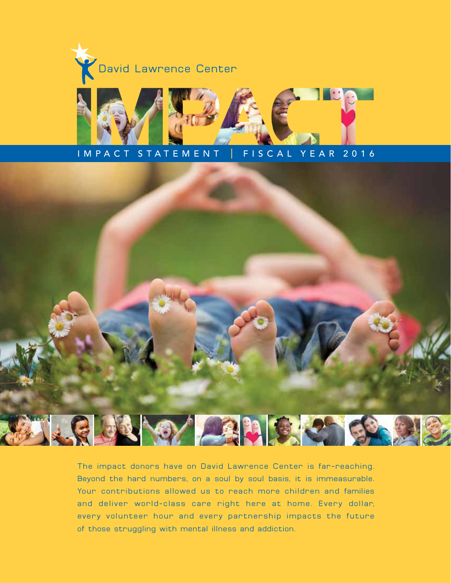



## IMPACT STATEMENT | FISCAL YEAR 2016



The impact donors have on David Lawrence Center is far-reaching. Beyond the hard numbers, on a soul by soul basis, it is immeasurable. Your contributions allowed us to reach more children and families and deliver world-class care right here at home. Every dollar, every volunteer hour and every partnership impacts the future of those struggling with mental illness and addiction.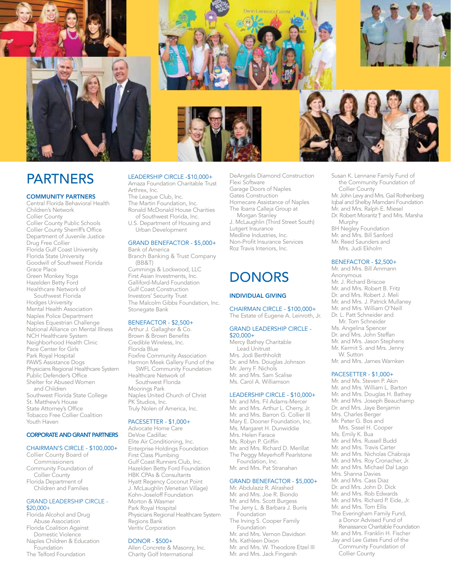



#### COMMUNITY PARTNERS

Central Florida Behavioral Health Children's Network Collier County Collier County Public Schools Collier County Sherriff's Office Department of Juvenile Justice Drug Free Collier Florida Gulf Coast University Florida State University Goodwill of Southwest Florida Grace Place Green Monkey Yoga Hazelden Betty Ford Healthcare Network of Southwest Florida Hodges University Mental Health Association Naples Police Department Naples Equestrian Challenge National Alliance on Mental Illness NCH Healthcare System Neighborhood Health Clinic Pace Center for Girls Park Royal Hospital PAWS Assistance Dogs Physicians Regional Healthcare System Public Defender's Office Shelter for Abused Women and Children Southwest Florida State College St. Matthew's House State Attorney's Office Tobacco Free Collier Coalition Youth Haven

#### CORPORATE AND GRANT PARTNERS

#### CHAIRMAN'S CIRCLE - \$100,000+

Collier County Board of **Commissioners** Community Foundation of Collier County Florida Department of Children and Families

#### GRAND LEADERSHIP CIRCLE -  $$20.000+$

Florida Alcohol and Drug Abuse Association Florida Coalition Against Domestic Violence Naples Children & Education Foundation The Telford Foundation



The Martin Foundation, Inc. Ronald McDonald House Charities of Southwest Florida, Inc.

U.S. Department of Housing and Urban Development

#### GRAND BENEFACTOR - \$5,000+ Bank of America

Branch Banking & Trust Company (BB&T) Cummings & Lockwood, LLC First Asian Investments, Inc. Galliford-Mulard Foundation Gulf Coast Construction Investors' Security Trust The Malcolm Gibbs Foundation, Inc. Stonegate Bank

#### BENEFACTOR - \$2,500+

Arthur J. Gallagher & Co. Brown & Brown Benefits Credible Wireless, Inc. Florida Blue Foxfire Community Association Harmon Meek Gallery Fund of the SWFL Community Foundation Healthcare Network of Southwest Florida Moorings Park Naples United Church of Christ PK Studios, Inc. Truly Nolen of America, Inc.

#### PACESETTER - \$1,000+

Advocate Home Care DeVoe Cadillac Elite Air Conditioning, Inc. Enterprise Holdings Foundation First Class Plumbing Gulf Coast Runners Club, Inc. Hazelden Betty Ford Foundation HBK CPAs & Consultants Hyatt Regency Coconut Point J. McLaughlin (Venetian Village) Kohn-Joseloff Foundation Morton & Wasmer Park Royal Hospital Physicians Regional Healthcare System Regions Bank Veritiv Corporation

#### DONOR - \$500+

Allen Concrete & Masonry, Inc. Charity Golf Interrnational

DeAngelis Diamond Construction Flexi Software Garage Doors of Naples Gates Construction Homecare Assistance of Naples The Ibarra Calleja Group at Morgan Stanley J. McLaughlin (Third Street South)

Lutgert Insurance Medline Industries, Inc. Non-Profit Insurance Services Roz Travis Interiors, Inc.

## **DONORS**

#### INDIVIDUAL GIVING

CHAIRMAN CIRCLE - \$100,000+ The Estate of Eugene A. Leinroth, Jr.

#### GRAND LEADERSHIP CIRCLE - \$20,000+

Mercy Bathey Charitable Lead Unitrust Mrs. Jodi Berthholdt Dr. and Mrs. Douglas Johnson Mr. Jerry F. Nichols Mr. and Mrs. Sam Scalise Ms. Carol A. Williamson

#### LEADERSHIP CIRCLE - \$10,000+

Mr. and Mrs. Fil Adams-Mercer Mr. and Mrs. Arthur L. Cherry, Jr. Mr. and Mrs. Barron G. Collier III Mary E. Dooner Foundation, Inc. Ms. Margaret H. Dunwiddie Mrs. Helen Farace Ms. Robyn P. Griffin Mr. and Mrs. Richard D. Merillat The Peggy Meyerhoff Pearlstone Foundation, Inc. Mr. and Mrs. Pat Stranahan

#### GRAND BENEFACTOR - \$5,000+

Mr. Abdulaziz R. Alrashed Mr. and Mrs. Joe R. Biondo Mr. and Mrs. Scott Burgess The Jerry L. & Barbara J. Burris **Foundation** The Irving S. Cooper Family Foundation Mr. and Mrs. Vernon Davidson Ms. Kathleen Dixon Mr. and Mrs. W. Theodore Etzel III Mr. and Mrs. Jack Fingersh



Susan K. Lennane Family Fund of the Community Foundation of Collier County Mr. John Levy and Mrs. Gail Rothenberg Iqbal and Shelby Mamdani Foundation Mr. and Mrs. Ralph E. Miesel Dr. Robert Morantz T and Mrs. Marsha Murphy BH Negley Foundation Mr. and Mrs. Bill Sanford Mr. Reed Saunders and Mrs. Judi Ekholm

#### BENEFACTOR - \$2,500+

Mr. and Mrs. Bill Ammann Anonymous Mr. J. Richard Briscoe Mr. and Mrs. Robert B. Fritz Dr. and Mrs. Robert J. Meli Mr. and Mrs. J. Patrick Mullaney Mr. and Mrs. William O'Neill Dr. L. Patt Schneider and Mr. Tom Schneider Ms. Angelina Spencer Dr. and Mrs. John Steffan Mr. and Mrs. Jason Stephens Mr. Kermit S. and Mrs. Jenny W. Sutton Mr. and Mrs. James Warnken

#### PACESETTER - \$1,000+

Mr. and Ms. Steven P. Akin Mr. and Mrs. William L. Barton Mr. and Mrs. Douglas H. Bathey Mr. and Mrs. Joseph Beauchamp Dr. and Mrs. Jaye Benjamin Mrs. Charles Berger Mr. Peter G. Bos and Mrs. Sissel H. Cooper Ms. Emily K. Bua Mr. and Mrs. Russell Budd Mr. and Mrs. Travis Carter Mr. and Mrs. Nicholas Chabraja Mr. and Mrs. Roy Cronacher, Jr. Mr. and Mrs. Michael Dal Lago Mrs. Shanna Davies Mr. and Mrs. Cass Diaz Dr. and Mrs. John D. Dick Mr. and Mrs. Rob Edwards Mr. and Mrs. Richard P. Eide, Jr. Mr. and Mrs. Tom Ellis The Everingham Family Fund, a Donor Advised Fund of Renaissance Charitable Foundation Mr. and Mrs. Franklin H. Fischer Jay and Lee Gates Fund of the Community Foundation of Collier County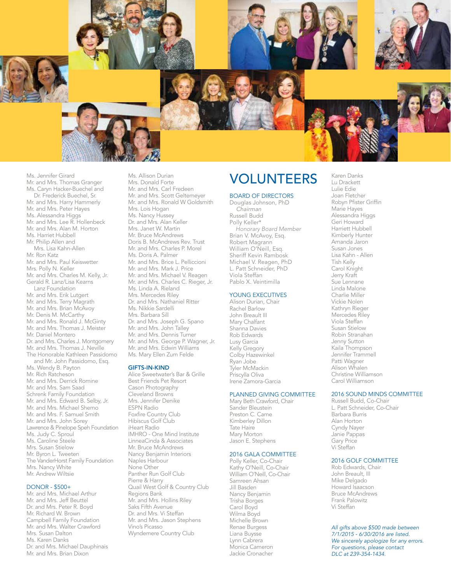

Ms. Jennifer Girard Mr. and Mrs. Thomas Granger Ms. Caryn Hacker-Buechel and Dr. Frederick Buechel, Sr. Mr. and Mrs. Harry Hammerly Mr. and Mrs. Peter Hayes Ms. Alessandra Higgs Mr. and Mrs. Lee R. Hollenbeck Mr. and Mrs. Alan M. Horton Ms. Harriet Hubbell Mr. Philip Allen and Mrs. Lisa Kahn-Allen Mr. Ron Katz Mr. and Mrs. Paul Keiswetter Mrs. Polly N. Keller Mr. and Mrs. Charles M. Kelly, Jr. Gerald R. Lanz/Lisa Kearns Lanz Foundation Mr. and Mrs. Erik Lutgert Mr. and Mrs. Terry Magrath Mr. and Mrs. Brian McAvoy Mr. Denis M. McCarthy Mr. and Mrs. Ronald J. McGinty Mr. and Mrs. Thomas J. Meister Mr. Daniel Montero Dr. and Mrs. Charles J. Montgomery Mr. and Mrs. Thomas J. Neville The Honorable Kathleen Passidomo and Mr. John Passidomo, Esq. Ms. Wendy B. Payton Mr. Rich Ratcheson Mr. and Mrs. Derrick Romine Mr. and Mrs. Sam Saad Schrenk Family Foundation Mr. and Mrs. Edward B. Selby, Jr. Mr. and Mrs. Michael Shemo Mr. and Mrs. F. Samuel Smith Mr. and Mrs. John Sorey Lawrence & Pinelope Speh Foundation Ms. Judy C. Sproul Ms. Caroline Steele Mrs. Susan Stielow Mr. Byron L. Tweeten The VanderHorst Family Foundation Mrs. Nancy White

Mr. Andrew Wiltsie

#### DONOR - \$500+

Mr. and Mrs. Michael Arthur Mr. and Mrs. Jeff Beuttel Dr. and Mrs. Peter R. Boyd Mr. Richard W. Brown Campbell Family Foundation Mr. and Mrs. Walter Crawford Mrs. Susan Dalton Ms. Karen Danks Dr. and Mrs. Michael Dauphinais Mr. and Mrs. Brian Dixon

Ms. Allison Durian Mrs. Donald Forte Mr. and Mrs. Carl Fredeen Mr. and Mrs. Scott Geltemeyer Mr. and Mrs. Ronald W Goldsmith Mrs. Lois Hogan Ms. Nancy Hussey Dr. and Mrs. Alan Keller Mrs. Janet W. Martin Mr. Bruce McAndrews Doris B. McAndrews Rev. Trust Mr. and Mrs. Charles P. Morel Ms. Doris A. Palmer Mr. and Mrs. Brice L. Pelliccioni Mr. and Mrs. Mark J. Price Mr. and Mrs. Michael V. Reagen Mr. and Mrs. Charles C. Rieger, Jr. Ms. Linda A. Rieland Mrs. Mercedes Riley Dr. and Mrs. Nathaniel Ritter Ms. Nikkie Sardelli Mrs. Barbara Sill Dr. and Mrs. Joseph G. Spano Mr. and Mrs. John Talley Mr. and Mrs. Dennis Turner Mr. and Mrs. George P. Wagner, Jr. Mr. and Mrs. Edwin Williams Ms. Mary Ellen Zum Felde

#### GIFTS-IN-KIND

Alice Sweetwater's Bar & Grille Best Friends Pet Resort Cason Photography Cleveland Browns Mrs. Jennifer Denike ESPN Radio Foxfire Country Club Hibiscus Golf Club iHeart Radio IMHRO - One Mind Institute LinneaCinda & Associates Mr. Bruce McAndrews Nancy Benjamin Interiors Naples Harbour None Other Panther Run Golf Club Pierre & Harry Quail West Golf & Country Club Regions Bank Mr. and Mrs. Hollins Riley Saks Fifth Avenue Dr. and Mrs. Vi Steffan Mr. and Mrs. Jason Stephens Vino's Picasso Wyndemere Country Club

## VOLUNTEERS

#### BOARD OF DIRECTORS

Douglas Johnson, PhD *Chairman* Russell Budd Polly Keller\* *Honorary Board Member* Brian V. McAvoy, Esq. Robert Magrann William O'Neill, Esq. Sheriff Kevin Rambosk Michael V. Reagen, PhD L. Patt Schneider, PhD Viola Steffan Pablo X. Veintimilla

#### YOUNG EXECUTIVES

Alison Durian, Chair Rachel Barlow John Breault III Mary Chalfant Shanna Davies Rob Edwards Lusy Garcia Kelly Gregory Colby Hazewinkel Ryan Jobe Tyler McMackin Priscylla Oliva Irene Zamora-Garcia

#### PLANNED GIVING COMMITTEE

Mary Beth Crawford, Chair Sander Bleustein Preston C. Came Kimberley Dillon Tate Haire Mary Morton Jason E. Stephens

#### 2016 GALA COMMITTEE

Polly Keller, Co-Chair Kathy O'Neill, Co-Chair William O'Neill, Co-Chair Samreen Ahsan Jill Basden Nancy Benjamin Trisha Borges Carol Boyd Wilma Boyd Michelle Brown Renae Burgess Liana Buysse Lynn Cabrera Monica Cameron Jackie Cronacher

Lulie Edie Joan Fletcher Robyn Pfister Griffin Marie Hayes Alessandra Higgs Geri Howard Harriett Hubbell Kimberly Hunter Amanda Jaron Susan Jones Lisa Kahn - Allen Tish Kelly Carol Knight Jerry Kraft Sue Lennane Linda Malone Charlie Miller Vickie Nolen Kathryn Rieger Mercedes Riley Viola Steffan Susan Stielow Robin Stranahan Jenny Sutton Kaila Thompson Jennifer Trammell Patti Wagner Alison Whalen Christine Williamson Carol Williamson

Karen Danks Lu Drackett

#### 2016 SOUND MINDS COMMITTEE

Russell Budd, Co-Chair L. Patt Schneider, Co-Chair Barbara Burris Alan Horton Cyndy Nayer Janie Pappas Gary Price Vi Steffan

#### 2016 GOLF COMMITTEE

Rob Edwards, Chair John Breault, III Mike Delgado Howard Isaacson Bruce McAndrews Frank Palowitz Vi Steffan

*All gifts above \$500 made between 7/1/2015 - 6/30/2016 are listed. We sincerely apologize for any errors. For questions, please contact DLC at 239-354-1434.*